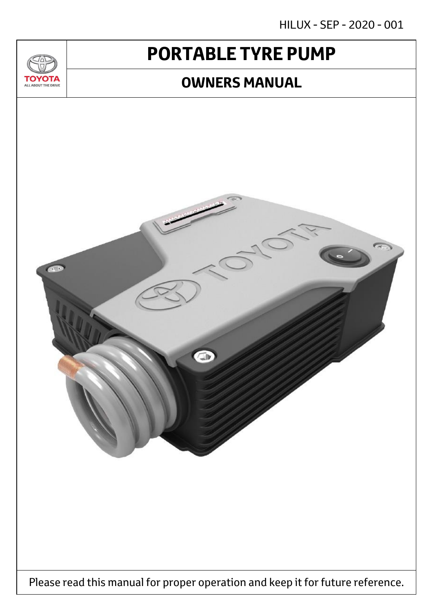HILUX - SEP - 2020 - 001

# **PORTABLE TYRE PUMP**

 $T_{\Delta}$ 

**TOYOTA** ALL ABOUT THE DRIVE

## **OWNERS MANUAL**

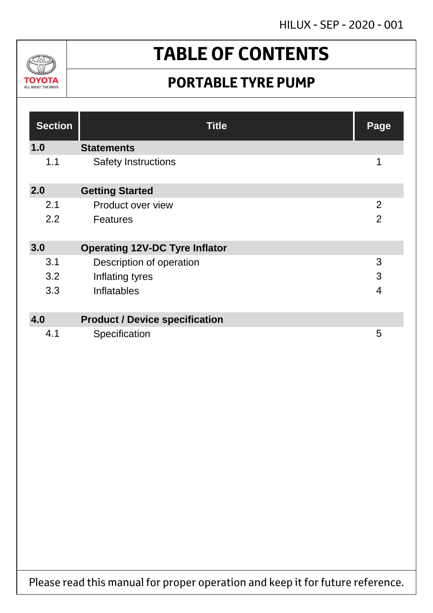HILUX - SEP - 2020 - 001



# **TABLE OF CONTENTS**

## **PORTABLE TYRE PUMP**

| <b>Section</b> | <b>Title</b>                          | Page           |
|----------------|---------------------------------------|----------------|
| 1.0            | <b>Statements</b>                     |                |
| 1.1            | <b>Safety Instructions</b>            | 1              |
| 2.0            | <b>Getting Started</b>                |                |
| 2.1            | Product over view                     | $\overline{2}$ |
| 2.2            | <b>Features</b>                       | $\overline{2}$ |
| 3.0            | <b>Operating 12V-DC Tyre Inflator</b> |                |
| 3.1            | Description of operation              | 3              |
| 3.2            | Inflating tyres                       | 3              |
| 3.3            | Inflatables                           | $\overline{4}$ |
|                |                                       |                |
| 4.0            | <b>Product / Device specification</b> |                |
| 4.1            | Specification                         | 5              |

Please read this manual for proper operation and keep it for future reference.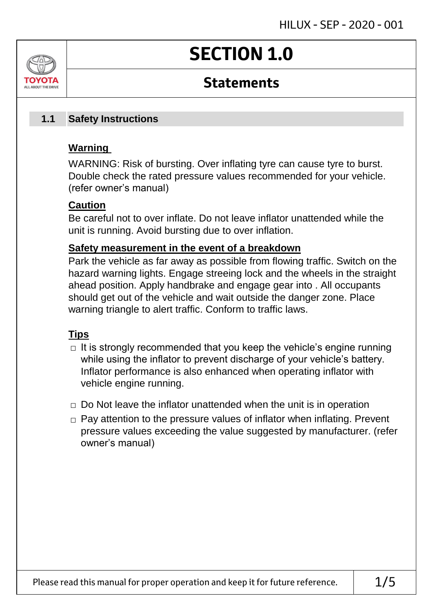# **SECTION 1.0**

## **Statements**

#### **Safety Instructions 1.1**

### **Warning**

ALL AROUT THE DRIV

WARNING: Risk of bursting. Over inflating tyre can cause tyre to burst. Double check the rated pressure values recommended for your vehicle. (refer owner's manual)

### **Caution**

Be careful not to over inflate. Do not leave inflator unattended while the unit is running. Avoid bursting due to over inflation.

### **Safety measurement in the event of a breakdown**

Park the vehicle as far away as possible from flowing traffic. Switch on the hazard warning lights. Engage streeing lock and the wheels in the straight ahead position. Apply handbrake and engage gear into . All occupants should get out of the vehicle and wait outside the danger zone. Place warning triangle to alert traffic. Conform to traffic laws.

### **Tips**

- $\Box$  It is strongly recommended that you keep the vehicle's engine running while using the inflator to prevent discharge of your vehicle's battery. Inflator performance is also enhanced when operating inflator with vehicle engine running.
- $\Box$  Do Not leave the inflator unattended when the unit is in operation
- □ Pay attention to the pressure values of inflator when inflating. Prevent pressure values exceeding the value suggested by manufacturer. (refer owner's manual)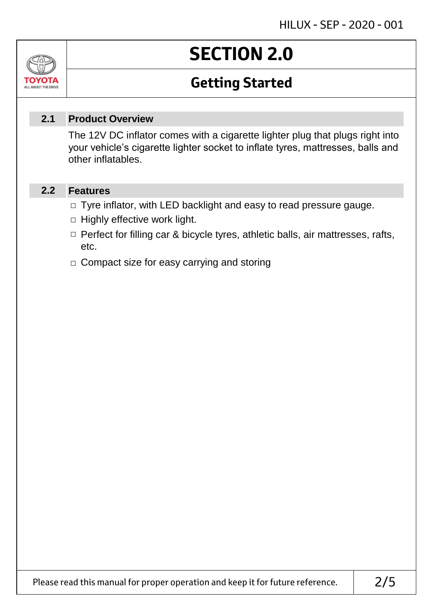### Jn TOVOIL ALL ABOUT THE DRIVE

# **SECTION 2.0**

## **Getting Started**

#### **Product Overview 2.1**

The 12V DC inflator comes with a cigarette lighter plug that plugs right into your vehicle's cigarette lighter socket to inflate tyres, mattresses, balls and other inflatables.

#### **Features 2.2**

- □ Tyre inflator, with LED backlight and easy to read pressure gauge.
- $\Box$  Highly effective work light.
- □ Perfect for filling car & bicycle tyres, athletic balls, air mattresses, rafts, etc.
- □ Compact size for easy carrying and storing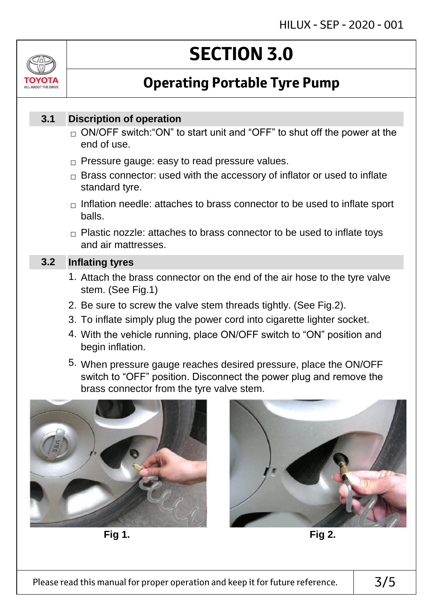

# **SECTION 3.0**

## **Operating Portable Tyre Pump**

#### **Discription of operation 3.1**

- $_\square$  ON/OFF switch:"ON" to start unit and "OFF" to shut off the power at the end of use.
- $\Box$  Pressure gauge: easy to read pressure values.
- $\Box$  Brass connector: used with the accessory of inflator or used to inflate standard tyre.
- $\Box$  Inflation needle: attaches to brass connector to be used to inflate sport balls.
- $\Box$  Plastic nozzle: attaches to brass connector to be used to inflate toys and air mattresses.

#### **Inflating tyres 3.2**

- 1. Attach the brass connector on the end of the air hose to the tyre valve stem. (See Fig.1)
- 2. Be sure to screw the valve stem threads tightly. (See Fig.2).
- 3. To inflate simply plug the power cord into cigarette lighter socket.
- 4. With the vehicle running, place ON/OFF switch to "ON" position and begin inflation.
- 5. When pressure gauge reaches desired pressure, place the ON/OFF switch to "OFF" position. Disconnect the power plug and remove the brass connector from the tyre valve stem.



**Fig 1. Fig 2.**

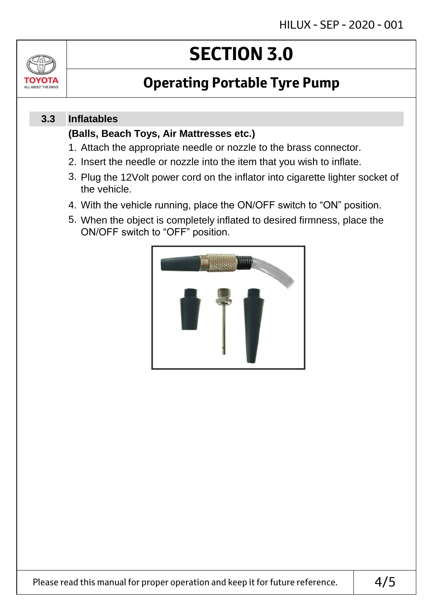

# **SECTION 3.0**

## **Operating Portable Tyre Pump**

#### **Inflatables 3.3**

### **(Balls, Beach Toys, Air Mattresses etc.)**

- 1. Attach the appropriate needle or nozzle to the brass connector.
- 2. Insert the needle or nozzle into the item that you wish to inflate.
- 3. Plug the 12Volt power cord on the inflator into cigarette lighter socket of the vehicle.
- 4. With the vehicle running, place the ON/OFF switch to "ON" position.
- 5. When the object is completely inflated to desired firmness, place the ON/OFF switch to "OFF" position.